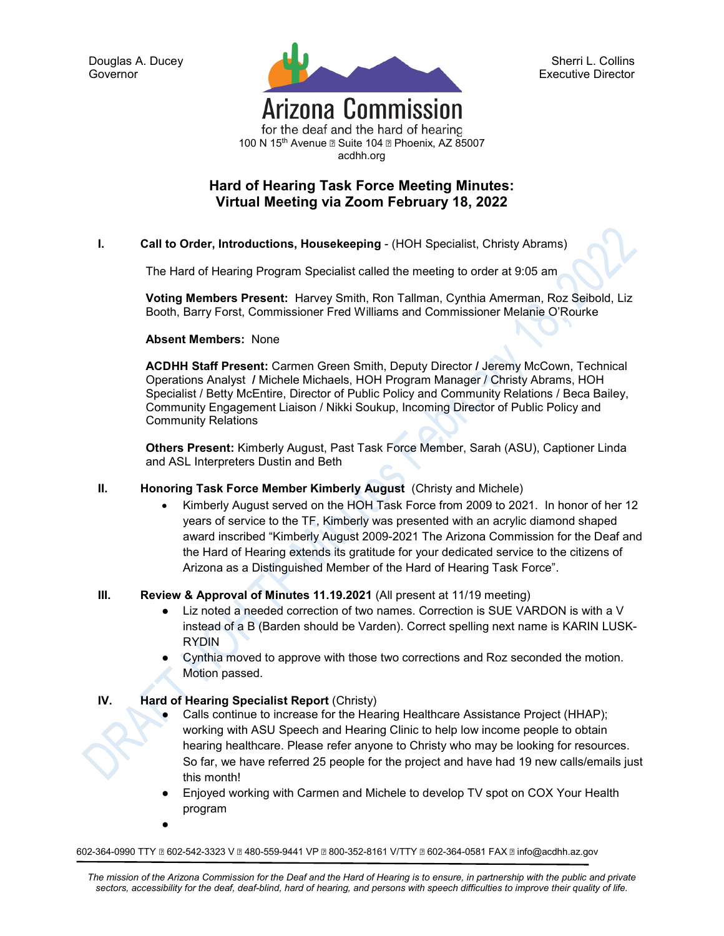

Sherri L. Collins Executive Director

for the deaf and the hard of hearing 100 N 15<sup>th</sup> Avenue a Suite 104 a Phoenix, AZ 85007 acdhh.org

# **Hard of Hearing Task Force Meeting Minutes: Virtual Meeting via Zoom February 18, 2022**

**I. Call to Order, Introductions, Housekeeping** - (HOH Specialist, Christy Abrams)

The Hard of Hearing Program Specialist called the meeting to order at 9:05 am

**Voting Members Present:** Harvey Smith, Ron Tallman, Cynthia Amerman, Roz Seibold, Liz Booth, Barry Forst, Commissioner Fred Williams and Commissioner Melanie O'Rourke

**Absent Members:** None

**ACDHH Staff Present:** Carmen Green Smith, Deputy Director **/** Jeremy McCown, Technical Operations Analyst **/** Michele Michaels, HOH Program Manager / Christy Abrams, HOH Specialist / Betty McEntire, Director of Public Policy and Community Relations / Beca Bailey, Community Engagement Liaison / Nikki Soukup, Incoming Director of Public Policy and Community Relations

**Others Present:** Kimberly August, Past Task Force Member, Sarah (ASU), Captioner Linda and ASL Interpreters Dustin and Beth

- **II. Honoring Task Force Member Kimberly August** (Christy and Michele)
	- Kimberly August served on the HOH Task Force from 2009 to 2021. In honor of her 12 years of service to the TF, Kimberly was presented with an acrylic diamond shaped award inscribed "Kimberly August 2009-2021 The Arizona Commission for the Deaf and the Hard of Hearing extends its gratitude for your dedicated service to the citizens of Arizona as a Distinguished Member of the Hard of Hearing Task Force".

## **III. Review & Approval of Minutes 11.19.2021** (All present at 11/19 meeting)

- Liz noted a needed correction of two names. Correction is SUE VARDON is with a V instead of a B (Barden should be Varden). Correct spelling next name is KARIN LUSK-RYDIN
- Cynthia moved to approve with those two corrections and Roz seconded the motion. Motion passed.

## **IV. Hard of Hearing Specialist Report** (Christy)

- Calls continue to increase for the Hearing Healthcare Assistance Project (HHAP); working with ASU Speech and Hearing Clinic to help low income people to obtain hearing healthcare. Please refer anyone to Christy who may be looking for resources. So far, we have referred 25 people for the project and have had 19 new calls/emails just this month!
- Enjoyed working with Carmen and Michele to develop TV spot on COX Your Health program
- ●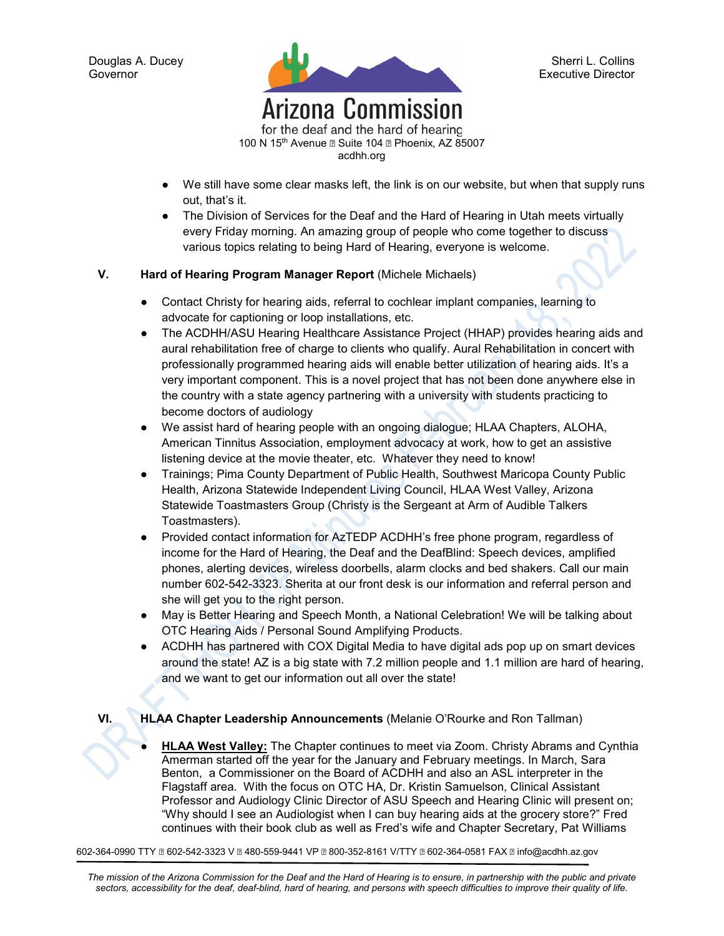

for the deaf and the hard of hearing 100 N 15<sup>th</sup> Avenue a Suite 104 a Phoenix, AZ 85007 acdhh.org

- We still have some clear masks left, the link is on our website, but when that supply runs out, that's it.
- The Division of Services for the Deaf and the Hard of Hearing in Utah meets virtually every Friday morning. An amazing group of people who come together to discuss various topics relating to being Hard of Hearing, everyone is welcome.

## **V. Hard of Hearing Program Manager Report** (Michele Michaels)

- Contact Christy for hearing aids, referral to cochlear implant companies, learning to advocate for captioning or loop installations, etc.
- The ACDHH/ASU Hearing Healthcare Assistance Project (HHAP) provides hearing aids and aural rehabilitation free of charge to clients who qualify. Aural Rehabilitation in concert with professionally programmed hearing aids will enable better utilization of hearing aids. It's a very important component. This is a novel project that has not been done anywhere else in the country with a state agency partnering with a university with students practicing to become doctors of audiology
- We assist hard of hearing people with an ongoing dialogue; HLAA Chapters, ALOHA, American Tinnitus Association, employment advocacy at work, how to get an assistive listening device at the movie theater, etc. Whatever they need to know!
- Trainings; Pima County Department of Public Health, Southwest Maricopa County Public Health, Arizona Statewide Independent Living Council, HLAA West Valley, Arizona Statewide Toastmasters Group (Christy is the Sergeant at Arm of Audible Talkers Toastmasters).
- Provided contact information for AzTEDP ACDHH's free phone program, regardless of income for the Hard of Hearing, the Deaf and the DeafBlind: Speech devices, amplified phones, alerting devices, wireless doorbells, alarm clocks and bed shakers. Call our main number 602-542-3323. Sherita at our front desk is our information and referral person and she will get you to the right person.
- May is Better Hearing and Speech Month, a National Celebration! We will be talking about OTC Hearing Aids / Personal Sound Amplifying Products.
- ACDHH has partnered with COX Digital Media to have digital ads pop up on smart devices around the state! AZ is a big state with 7.2 million people and 1.1 million are hard of hearing, and we want to get our information out all over the state!

#### **VI. HLAA Chapter Leadership Announcements** (Melanie O'Rourke and Ron Tallman)

**HLAA West Valley:** The Chapter continues to meet via Zoom. Christy Abrams and Cynthia Amerman started off the year for the January and February meetings. In March, Sara Benton, a Commissioner on the Board of ACDHH and also an ASL interpreter in the Flagstaff area. With the focus on OTC HA, Dr. Kristin Samuelson, Clinical Assistant Professor and Audiology Clinic Director of ASU Speech and Hearing Clinic will present on; "Why should I see an Audiologist when I can buy hearing aids at the grocery store?" Fred continues with their book club as well as Fred's wife and Chapter Secretary, Pat Williams

602-364-0990 TTY � 602-542-3323 V � 480-559-9441 VP � 800-352-8161 V/TTY � 602-364-0581 FAX � info@acdhh.az.gov

*The mission of the Arizona Commission for the Deaf and the Hard of Hearing is to ensure, in partnership with the public and private sectors, accessibility for the deaf, deaf-blind, hard of hearing, and persons with speech difficulties to improve their quality of life.*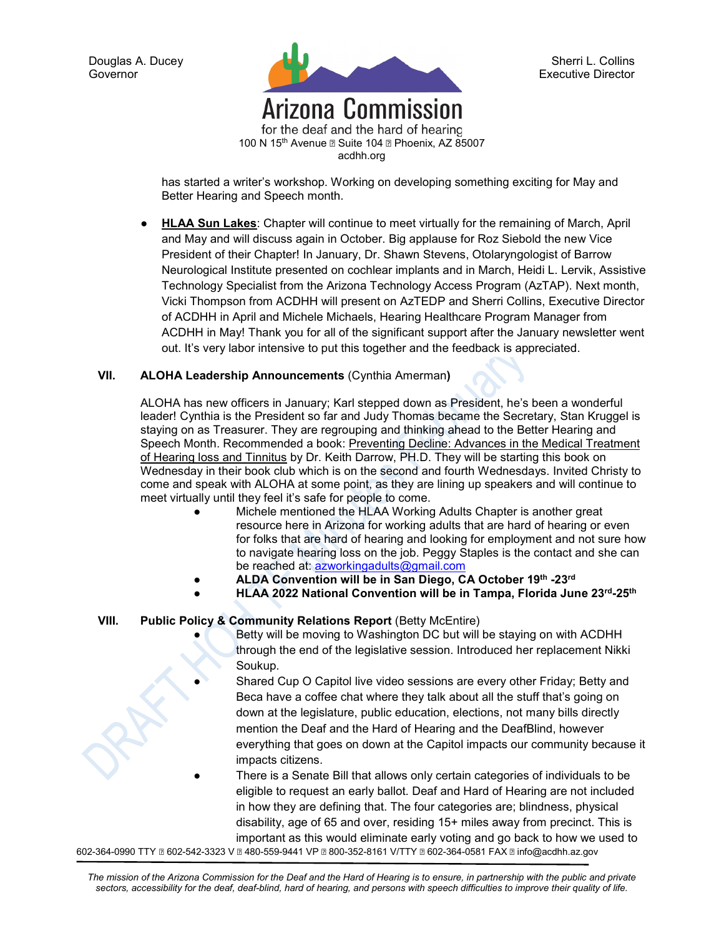

for the deaf and the hard of hearing 100 N 15<sup>th</sup> Avenue a Suite 104 a Phoenix, AZ 85007 acdhh.org

has started a writer's workshop. Working on developing something exciting for May and Better Hearing and Speech month.

**HLAA Sun Lakes:** Chapter will continue to meet virtually for the remaining of March, April and May and will discuss again in October. Big applause for Roz Siebold the new Vice President of their Chapter! In January, Dr. Shawn Stevens, Otolaryngologist of Barrow Neurological Institute presented on cochlear implants and in March, Heidi L. Lervik, Assistive Technology Specialist from the Arizona Technology Access Program (AzTAP). Next month, Vicki Thompson from ACDHH will present on AzTEDP and Sherri Collins, Executive Director of ACDHH in April and Michele Michaels, Hearing Healthcare Program Manager from ACDHH in May! Thank you for all of the significant support after the January newsletter went out. It's very labor intensive to put this together and the feedback is appreciated.

#### **VII. ALOHA Leadership Announcements** (Cynthia Amerman**)**

ALOHA has new officers in January; Karl stepped down as President, he's been a wonderful leader! Cynthia is the President so far and Judy Thomas became the Secretary, Stan Kruggel is staying on as Treasurer. They are regrouping and thinking ahead to the Better Hearing and Speech Month. Recommended a book: Preventing Decline: Advances in the Medical Treatment of Hearing loss and Tinnitus by Dr. Keith Darrow, PH.D. They will be starting this book on Wednesday in their book club which is on the second and fourth Wednesdays. Invited Christy to come and speak with ALOHA at some point, as they are lining up speakers and will continue to meet virtually until they feel it's safe for people to come.

- Michele mentioned the HLAA Working Adults Chapter is another great resource here in Arizona for working adults that are hard of hearing or even for folks that are hard of hearing and looking for employment and not sure how to navigate hearing loss on the job. Peggy Staples is the contact and she can be reached at: [azworkingadults@gmail.com](mailto:azworkingadults@gmail.com)
- **ALDA Convention will be in San Diego, CA October 19th -23rd**
- **HLAA 2022 National Convention will be in Tampa, Florida June 23rd-25th**

## **VIII.** Public Policy & Community Relations Report (Betty McEntire)

- Betty will be moving to Washington DC but will be staying on with ACDHH through the end of the legislative session. Introduced her replacement Nikki Soukup.
- Shared Cup O Capitol live video sessions are every other Friday; Betty and Beca have a coffee chat where they talk about all the stuff that's going on down at the legislature, public education, elections, not many bills directly mention the Deaf and the Hard of Hearing and the DeafBlind, however everything that goes on down at the Capitol impacts our community because it impacts citizens.
- There is a Senate Bill that allows only certain categories of individuals to be eligible to request an early ballot. Deaf and Hard of Hearing are not included in how they are defining that. The four categories are; blindness, physical disability, age of 65 and over, residing 15+ miles away from precinct. This is important as this would eliminate early voting and go back to how we used to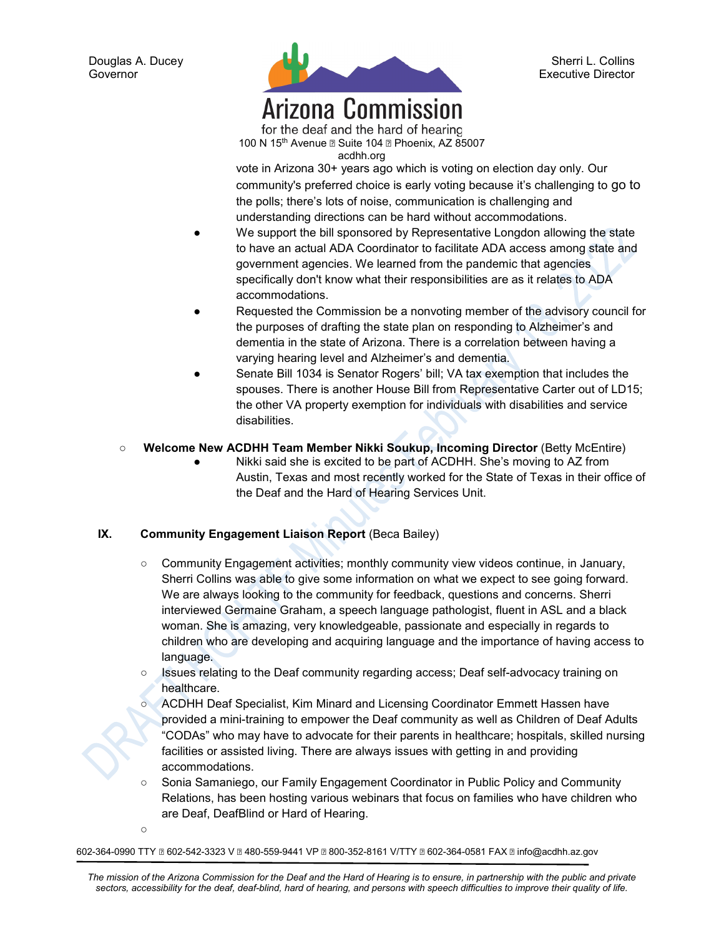$\Omega$ 



Sherri L. Collins Executive Director

# **Arizona Commission** for the deaf and the hard of hearing

100 N 15<sup>th</sup> Avenue a Suite 104 a Phoenix, AZ 85007 acdhh.org

vote in Arizona 30+ years ago which is voting on election day only. Our community's preferred choice is early voting because it's challenging to go to the polls; there's lots of noise, communication is challenging and understanding directions can be hard without accommodations.

- We support the bill sponsored by Representative Longdon allowing the state to have an actual ADA Coordinator to facilitate ADA access among state and government agencies. We learned from the pandemic that agencies specifically don't know what their responsibilities are as it relates to ADA accommodations.
- Requested the Commission be a nonvoting member of the advisory council for the purposes of drafting the state plan on responding to Alzheimer's and dementia in the state of Arizona. There is a correlation between having a varying hearing level and Alzheimer's and dementia.
- Senate Bill 1034 is Senator Rogers' bill; VA tax exemption that includes the spouses. There is another House Bill from Representative Carter out of LD15; the other VA property exemption for individuals with disabilities and service disabilities.
- **Welcome New ACDHH Team Member Nikki Soukup, Incoming Director** (Betty McEntire)
	- Nikki said she is excited to be part of ACDHH. She's moving to AZ from Austin, Texas and most recently worked for the State of Texas in their office of the Deaf and the Hard of Hearing Services Unit.

# **IX. Community Engagement Liaison Report** (Beca Bailey)

- Community Engagement activities; monthly community view videos continue, in January, Sherri Collins was able to give some information on what we expect to see going forward. We are always looking to the community for feedback, questions and concerns. Sherri interviewed Germaine Graham, a speech language pathologist, fluent in ASL and a black woman. She is amazing, very knowledgeable, passionate and especially in regards to children who are developing and acquiring language and the importance of having access to language.
- Issues relating to the Deaf community regarding access; Deaf self-advocacy training on healthcare.
- ACDHH Deaf Specialist, Kim Minard and Licensing Coordinator Emmett Hassen have provided a mini-training to empower the Deaf community as well as Children of Deaf Adults "CODAs" who may have to advocate for their parents in healthcare; hospitals, skilled nursing facilities or assisted living. There are always issues with getting in and providing accommodations.
- Sonia Samaniego, our Family Engagement Coordinator in Public Policy and Community Relations, has been hosting various webinars that focus on families who have children who are Deaf, DeafBlind or Hard of Hearing.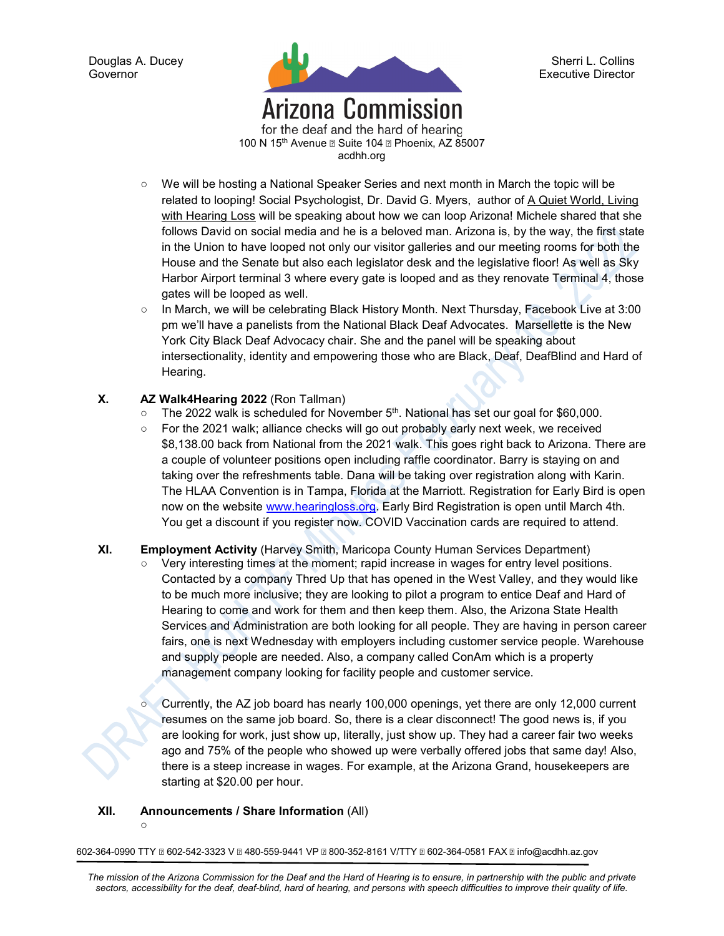

Sherri L. Collins Executive Director

for the deaf and the hard of hearing 100 N 15<sup>th</sup> Avenue a Suite 104 a Phoenix, AZ 85007 acdhh.org

- We will be hosting a National Speaker Series and next month in March the topic will be related to looping! Social Psychologist, Dr. David G. Myers, author of A Quiet World, Living with Hearing Loss will be speaking about how we can loop Arizona! Michele shared that she follows David on social media and he is a beloved man. Arizona is, by the way, the first state in the Union to have looped not only our visitor galleries and our meeting rooms for both the House and the Senate but also each legislator desk and the legislative floor! As well as Sky Harbor Airport terminal 3 where every gate is looped and as they renovate Terminal 4, those gates will be looped as well.
- In March, we will be celebrating Black History Month. Next Thursday, Facebook Live at 3:00 pm we'll have a panelists from the National Black Deaf Advocates. Marsellette is the New York City Black Deaf Advocacy chair. She and the panel will be speaking about intersectionality, identity and empowering those who are Black, Deaf, DeafBlind and Hard of Hearing.

## **X. AZ Walk4Hearing 2022** (Ron Tallman)

- $\circ$  The 2022 walk is scheduled for November 5<sup>th</sup>. National has set our goal for \$60,000.
- For the 2021 walk; alliance checks will go out probably early next week, we received \$8,138.00 back from National from the 2021 walk. This goes right back to Arizona. There are a couple of volunteer positions open including raffle coordinator. Barry is staying on and taking over the refreshments table. Dana will be taking over registration along with Karin. The HLAA Convention is in Tampa, Florida at the Marriott. Registration for Early Bird is open now on the website [www.hearingloss.org.](http://www.hearingloss.org/) Early Bird Registration is open until March 4th. You get a discount if you register now. COVID Vaccination cards are required to attend.

## **XI. Employment Activity** (Harvey Smith, Maricopa County Human Services Department)

- Very interesting times at the moment; rapid increase in wages for entry level positions. Contacted by a company Thred Up that has opened in the West Valley, and they would like to be much more inclusive; they are looking to pilot a program to entice Deaf and Hard of Hearing to come and work for them and then keep them. Also, the Arizona State Health Services and Administration are both looking for all people. They are having in person career fairs, one is next Wednesday with employers including customer service people. Warehouse and supply people are needed. Also, a company called ConAm which is a property management company looking for facility people and customer service.
	- Currently, the AZ job board has nearly 100,000 openings, yet there are only 12,000 current resumes on the same job board. So, there is a clear disconnect! The good news is, if you are looking for work, just show up, literally, just show up. They had a career fair two weeks ago and 75% of the people who showed up were verbally offered jobs that same day! Also, there is a steep increase in wages. For example, at the Arizona Grand, housekeepers are starting at \$20.00 per hour.

#### **XII. Announcements / Share Information** (All)

 $\Omega$